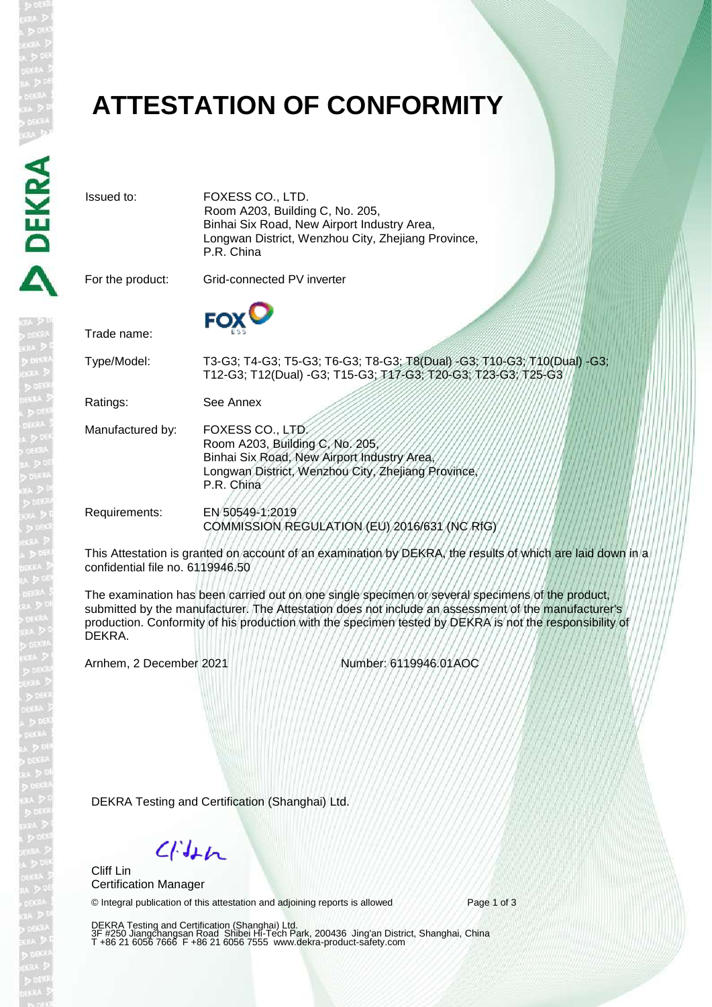# **ATTESTATION OF CONFORMITY**

Issued to: FOXESS CO., LTD. Room A203, Building C, No. 205, Binhai Six Road, New Airport Industry Area, Longwan District, Wenzhou City, Zhejiang Province, P.R. China

For the product: Grid-connected PV inverter

**FOX<sup>Q</sup>** 

Trade name:

Type/Model: T3-G3; T4-G3; T5-G3; T6-G3; T8-G3; T8(Dual) -G3; T10-G3; T10(Dual) -G3; T12-G3; T12(Dual) -G3; T15-G3; T17-G3; T20-G3; T23-G3; T25-G3

Ratings: See Annex

| Manufactured by: | FOXESS CO., LTD.                                   |
|------------------|----------------------------------------------------|
|                  | Room A203, Building C, No. 205,                    |
|                  | Binhai Six Road, New Airport Industry Area,        |
|                  | Longwan District, Wenzhou City, Zhejiang Province, |
|                  | P.R. China                                         |
|                  |                                                    |

Requirements: EN 50549-1:2019 COMMISSION REGULATION (EU) 2016/631 (NC RfG)

This Attestation is granted on account of an examination by DEKRA, the results of which are laid down in a confidential file no. 6119946.50

The examination has been carried out on one single specimen or several specimens of the product, submitted by the manufacturer. The Attestation does not include an assessment of the manufacturer's production. Conformity of his production with the specimen tested by DEKRA is not the responsibility of DEKRA.

Arnhem, 2 December 2021 Number: 6119946.01AOC

DEKRA Testing and Certification (Shanghai) Ltd.

 $C/M+n$ 

Cliff Lin Certification Manager

© Integral publication of this attestation and adjoining reports is allowed Page 1 of 3

DEKRA Testing and Certification (Shanghai) Ltd.<br>3F #250 Jiangchangsan Road Shibei Hi-Tech Park, 200436 Jing'an District, Shanghai, China<br>T +86 21 6056 7666 F +86 21 6056 7555 www.dekra-product-safety.com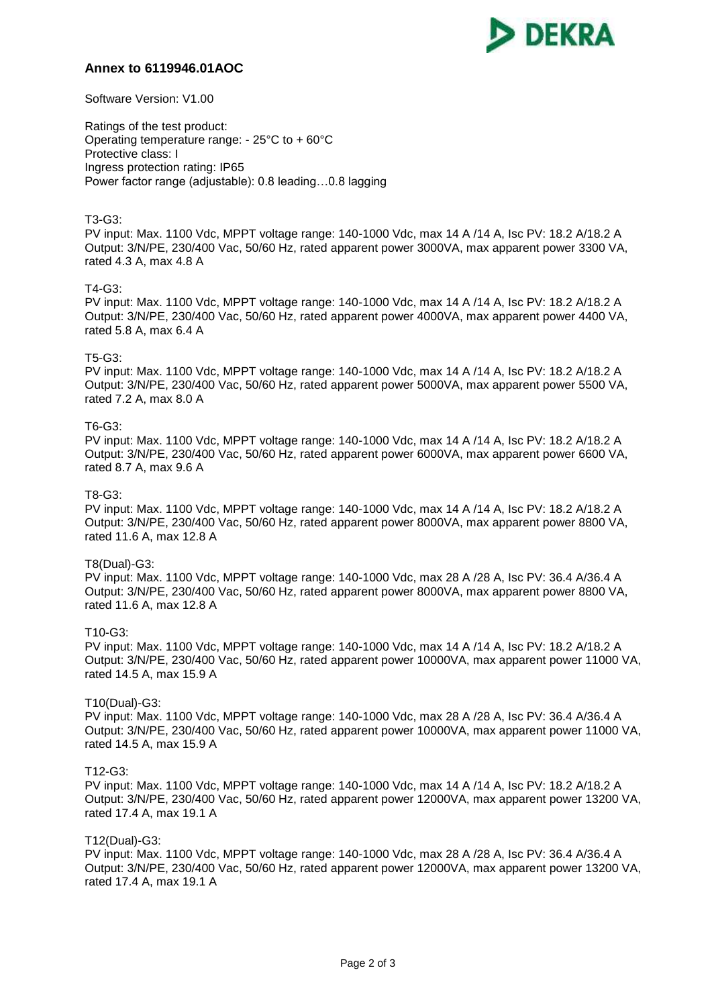

# **Annex to 6119946.01AOC**

## Software Version: V1.00

Ratings of the test product: Operating temperature range: - 25°C to + 60°C Protective class: I Ingress protection rating: IP65 Power factor range (adjustable): 0.8 leading…0.8 lagging

## T3-G3:

PV input: Max. 1100 Vdc, MPPT voltage range: 140-1000 Vdc, max 14 A /14 A, Isc PV: 18.2 A/18.2 A Output: 3/N/PE, 230/400 Vac, 50/60 Hz, rated apparent power 3000VA, max apparent power 3300 VA, rated 4.3 A, max 4.8 A

## T4-G3:

PV input: Max. 1100 Vdc, MPPT voltage range: 140-1000 Vdc, max 14 A /14 A, Isc PV: 18.2 A/18.2 A Output: 3/N/PE, 230/400 Vac, 50/60 Hz, rated apparent power 4000VA, max apparent power 4400 VA, rated 5.8 A, max 6.4 A

## T5-G3:

PV input: Max. 1100 Vdc, MPPT voltage range: 140-1000 Vdc, max 14 A /14 A, Isc PV: 18.2 A/18.2 A Output: 3/N/PE, 230/400 Vac, 50/60 Hz, rated apparent power 5000VA, max apparent power 5500 VA, rated 7.2 A, max 8.0 A

## T6-G3:

PV input: Max. 1100 Vdc, MPPT voltage range: 140-1000 Vdc, max 14 A /14 A, Isc PV: 18.2 A/18.2 A Output: 3/N/PE, 230/400 Vac, 50/60 Hz, rated apparent power 6000VA, max apparent power 6600 VA, rated 8.7 A, max 9.6 A

# T8-G3:

PV input: Max. 1100 Vdc, MPPT voltage range: 140-1000 Vdc, max 14 A /14 A, Isc PV: 18.2 A/18.2 A Output: 3/N/PE, 230/400 Vac, 50/60 Hz, rated apparent power 8000VA, max apparent power 8800 VA, rated 11.6 A, max 12.8 A

## T8(Dual)-G3:

PV input: Max. 1100 Vdc, MPPT voltage range: 140-1000 Vdc, max 28 A /28 A, Isc PV: 36.4 A/36.4 A Output: 3/N/PE, 230/400 Vac, 50/60 Hz, rated apparent power 8000VA, max apparent power 8800 VA, rated 11.6 A, max 12.8 A

## T10-G3:

PV input: Max. 1100 Vdc, MPPT voltage range: 140-1000 Vdc, max 14 A /14 A, Isc PV: 18.2 A/18.2 A Output: 3/N/PE, 230/400 Vac, 50/60 Hz, rated apparent power 10000VA, max apparent power 11000 VA, rated 14.5 A, max 15.9 A

## T10(Dual)-G3:

PV input: Max. 1100 Vdc, MPPT voltage range: 140-1000 Vdc, max 28 A /28 A, Isc PV: 36.4 A/36.4 A Output: 3/N/PE, 230/400 Vac, 50/60 Hz, rated apparent power 10000VA, max apparent power 11000 VA, rated 14.5 A, max 15.9 A

## T12-G3:

PV input: Max. 1100 Vdc, MPPT voltage range: 140-1000 Vdc, max 14 A /14 A, Isc PV: 18.2 A/18.2 A Output: 3/N/PE, 230/400 Vac, 50/60 Hz, rated apparent power 12000VA, max apparent power 13200 VA, rated 17.4 A, max 19.1 A

## T12(Dual)-G3:

PV input: Max. 1100 Vdc, MPPT voltage range: 140-1000 Vdc, max 28 A /28 A, Isc PV: 36.4 A/36.4 A Output: 3/N/PE, 230/400 Vac, 50/60 Hz, rated apparent power 12000VA, max apparent power 13200 VA, rated 17.4 A, max 19.1 A